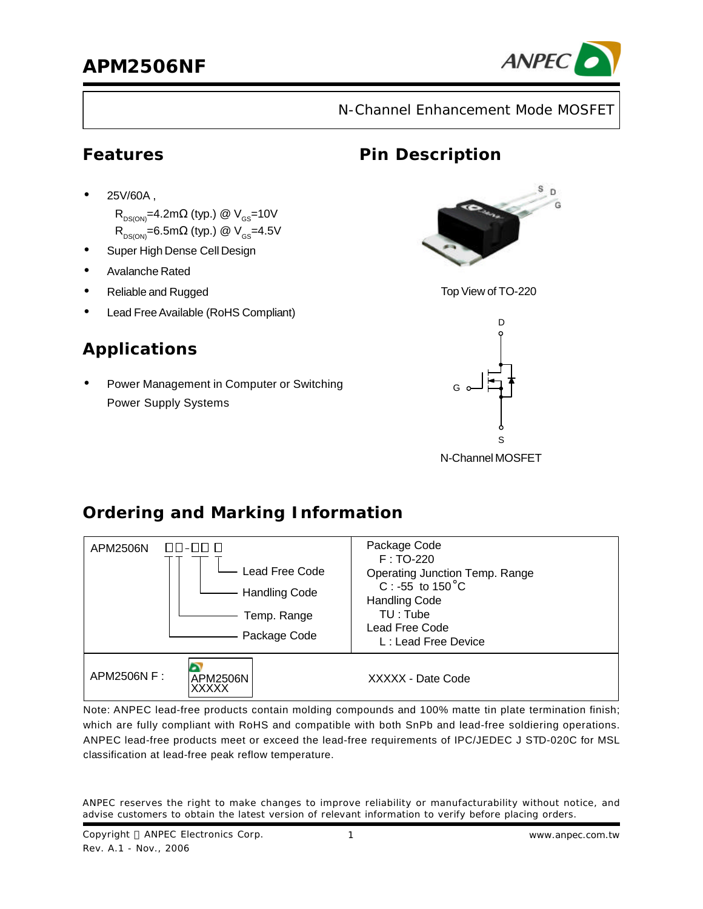

N-Channel Enhancement Mode MOSFET

#### **Features**

**·** 25V/60A ,

 $\mathsf{R}_{_{\mathsf{DS}(\mathsf{ON})}}$ =4.2m $\Omega$  (typ.) @  $\mathsf{V}_{_{\mathsf{GS}}}$ =10V  $\mathsf{R}_{_{\mathsf{DS}(\mathsf{ON})}}$ =6.5mΩ (typ.) @ V<sub>GS</sub>=4.5V

- **·** Super High Dense Cell Design
- **·** Avalanche Rated
- **·** Reliable and Rugged
- Lead Free Available (RoHS Compliant)

# **Applications**

**·** Power Management in Computer or Switching Power Supply Systems

# **Pin Description**



Top View of TO-220



N-Channel MOSFET

# **Ordering and Marking Information**



Note: ANPEC lead-free products contain molding compounds and 100% matte tin plate termination finish; which are fully compliant with RoHS and compatible with both SnPb and lead-free soldiering operations. ANPEC lead-free products meet or exceed the lead-free requirements of IPC/JEDEC J STD-020C for MSL classification at lead-free peak reflow temperature.

ANPEC reserves the right to make changes to improve reliability or manufacturability without notice, and advise customers to obtain the latest version of relevant information to verify before placing orders.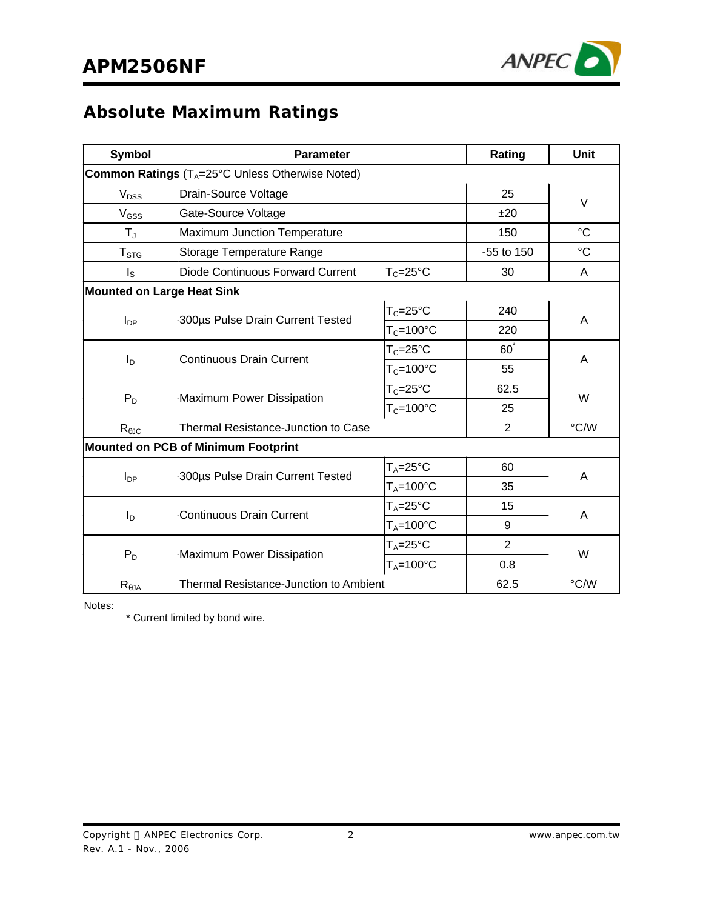

# **Absolute Maximum Ratings**

| <b>Symbol</b>                                   | <b>Parameter</b>                              | Rating               | Unit           |                 |  |
|-------------------------------------------------|-----------------------------------------------|----------------------|----------------|-----------------|--|
| Common Ratings (TA=25°C Unless Otherwise Noted) |                                               |                      |                |                 |  |
| V <sub>DSS</sub>                                | Drain-Source Voltage                          |                      | 25             |                 |  |
| V <sub>GSS</sub>                                | Gate-Source Voltage                           |                      |                | V               |  |
| $T_{\rm J}$                                     | <b>Maximum Junction Temperature</b>           |                      |                | $\rm ^{\circ}C$ |  |
| T <sub>STG</sub>                                | Storage Temperature Range                     |                      | -55 to 150     | $^{\circ}C$     |  |
| $I_{\rm S}$                                     | <b>Diode Continuous Forward Current</b>       | $T_c = 25$ °C        |                | A               |  |
| <b>Mounted on Large Heat Sink</b>               |                                               |                      |                |                 |  |
| $I_{DP}$                                        | 300µs Pulse Drain Current Tested              | $T_c = 25$ °C        | 240            | A               |  |
|                                                 |                                               | $T_c = 100$ °C       | 220            |                 |  |
|                                                 | <b>Continuous Drain Current</b>               | $T_c = 25$ °C        | $60^{\degree}$ | A               |  |
| $I_{\text{D}}$                                  |                                               | $T_c = 100$ °C       | 55             |                 |  |
|                                                 |                                               | $T_c = 25$ °C        | 62.5           | W               |  |
| $P_D$                                           | Maximum Power Dissipation                     | $T_c = 100^{\circ}C$ | 25             |                 |  |
| $R_{\theta JC}$                                 | <b>Thermal Resistance-Junction to Case</b>    |                      | $\overline{2}$ | °C/W            |  |
| <b>Mounted on PCB of Minimum Footprint</b>      |                                               |                      |                |                 |  |
| $I_{DP}$                                        | 300µs Pulse Drain Current Tested              | $T_A = 25$ °C        | 60             | A               |  |
|                                                 |                                               | $T_A = 100$ °C       | 35             |                 |  |
| $I_{\text{D}}$                                  | <b>Continuous Drain Current</b>               | $T_A = 25$ °C        | 15             | A               |  |
|                                                 |                                               | $T_A = 100$ °C       | 9              |                 |  |
| $P_D$                                           |                                               | $T_A = 25$ °C        | $\overline{2}$ | W               |  |
|                                                 | Maximum Power Dissipation                     | $T_A = 100$ °C       | 0.8            |                 |  |
| $R_{\theta JA}$                                 | <b>Thermal Resistance-Junction to Ambient</b> |                      | 62.5           | °C/W            |  |

Notes:

\* Current limited by bond wire.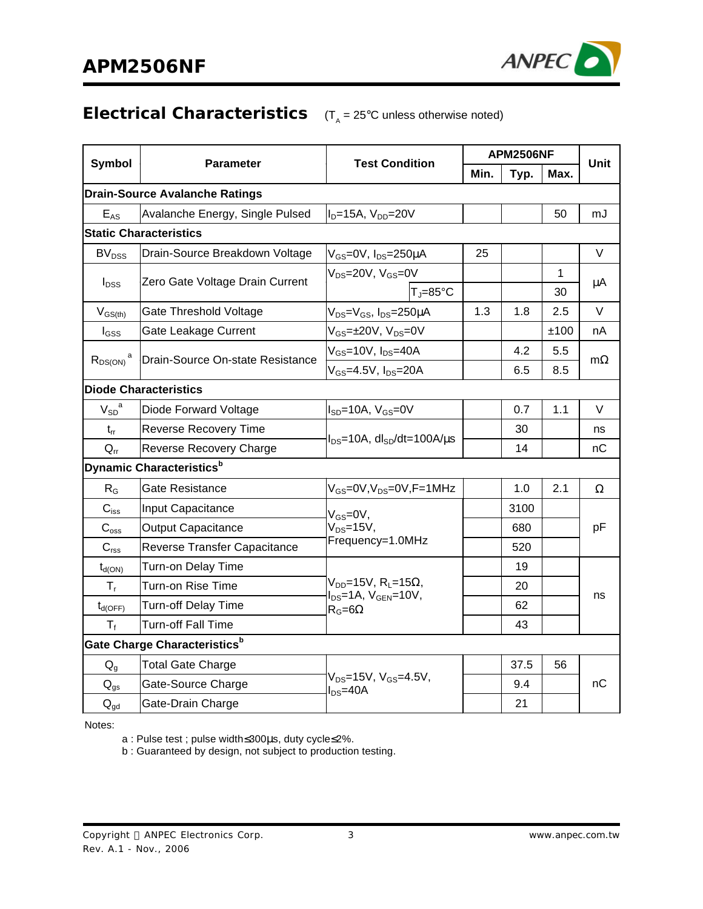

#### **Electrical Characteristics** (T<sub>A</sub> = 25°C unless otherwise noted)

|                                       |                                             |                                                           | <b>APM2506NF</b> |      |      |           |  |
|---------------------------------------|---------------------------------------------|-----------------------------------------------------------|------------------|------|------|-----------|--|
| <b>Symbol</b>                         | <b>Parameter</b>                            | <b>Test Condition</b>                                     | Min.             | Typ. | Max. | Unit      |  |
| <b>Drain-Source Avalanche Ratings</b> |                                             |                                                           |                  |      |      |           |  |
| $E_{AS}$                              | Avalanche Energy, Single Pulsed             | $I_D=15A$ , $V_{DD}=20V$                                  |                  |      | 50   | mJ        |  |
|                                       | <b>Static Characteristics</b>               |                                                           |                  |      |      |           |  |
| BV <sub>DSS</sub>                     | Drain-Source Breakdown Voltage              | V <sub>GS</sub> =0V, I <sub>DS</sub> =250µA               | 25               |      |      | V         |  |
| $I_{DSS}$                             | Zero Gate Voltage Drain Current             | $V_{DS} = 20V$ , $V_{GS} = 0V$                            |                  |      | 1    | μA        |  |
|                                       |                                             | $T_J = 85$ °C                                             |                  |      | 30   |           |  |
| $V_{GS(th)}$                          | Gate Threshold Voltage                      | V <sub>DS</sub> =V <sub>GS</sub> , I <sub>DS</sub> =250µA | 1.3              | 1.8  | 2.5  | V         |  |
| $I_{GSS}$                             | Gate Leakage Current                        | $V_{GS} = \pm 20V$ , $V_{DS} = 0V$                        |                  |      | ±100 | nA        |  |
| $R_{DS(ON)}^{\qquad a}$               | Drain-Source On-state Resistance            | $V_{GS}$ =10V, $I_{DS}$ =40A                              |                  | 4.2  | 5.5  | $m\Omega$ |  |
|                                       |                                             | $V_{GS}$ =4.5V, $I_{DS}$ =20A                             |                  | 6.5  | 8.5  |           |  |
|                                       | <b>Diode Characteristics</b>                |                                                           |                  |      |      |           |  |
| $V_{SD}^{\quad a}$                    | Diode Forward Voltage                       | $I_{SD}$ =10A, $V_{GS}$ =0V                               |                  | 0.7  | 1.1  | V         |  |
| $t_{rr}$                              | <b>Reverse Recovery Time</b>                | $I_{DS}$ =10A, dl <sub>SD</sub> /dt=100A/ $\mu$ s         |                  | 30   |      | ns        |  |
| $Q_{rr}$                              | <b>Reverse Recovery Charge</b>              |                                                           |                  | 14   |      | nС        |  |
|                                       | <b>Dynamic Characteristics</b> <sup>b</sup> |                                                           |                  |      |      |           |  |
| $R_G$                                 | Gate Resistance                             | $V_{GS}$ =0V, V <sub>DS</sub> =0V, F=1MHz                 |                  | 1.0  | 2.1  | Ω         |  |
| $C_{iss}$                             | Input Capacitance                           | $V_{GS} = 0V$ ,                                           |                  | 3100 |      |           |  |
| $C_{\text{oss}}$                      | <b>Output Capacitance</b>                   | $V_{DS} = 15V$ ,                                          |                  | 680  |      | рF        |  |
| C <sub>rss</sub>                      | Reverse Transfer Capacitance                | Frequency=1.0MHz                                          |                  | 520  |      |           |  |
| $t_{d(ON)}$                           | Turn-on Delay Time                          |                                                           |                  | 19   |      |           |  |
| $T_{r}$                               | Turn-on Rise Time                           | $V_{DD}$ =15V, R <sub>L</sub> =15 $\Omega$ ,              |                  | 20   |      | ns        |  |
| $t_{d(OFF)}$                          | Turn-off Delay Time                         | $I_{DS}$ =1A, $V_{GEN}$ =10V,<br>$R_G = 6\Omega$          |                  | 62   |      |           |  |
| $T_{f}$                               | <b>Turn-off Fall Time</b>                   |                                                           |                  | 43   |      |           |  |
|                                       | Gate Charge Characteristics <sup>b</sup>    |                                                           |                  |      |      |           |  |
| $Q_q$                                 | <b>Total Gate Charge</b>                    |                                                           |                  | 37.5 | 56   |           |  |
| $Q_{gs}$                              | Gate-Source Charge                          | $V_{DS} = 15V$ , $V_{GS} = 4.5V$ ,<br>$I_{DS}$ =40A       |                  | 9.4  |      | nC        |  |
| $Q_{\text{gd}}$                       | Gate-Drain Charge                           |                                                           |                  | 21   |      |           |  |

Notes:

a : Pulse test ; pulse width≤300μs, duty cycle≤2%.

b : Guaranteed by design, not subject to production testing.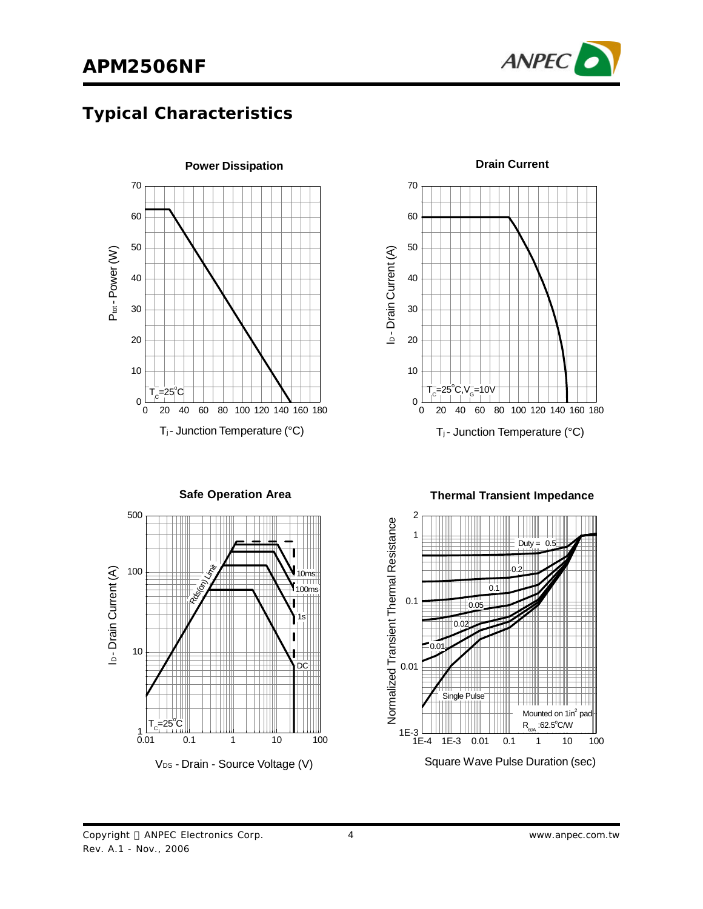

# **Typical Characteristics**





**Safe Operation Area**







**Drain Current**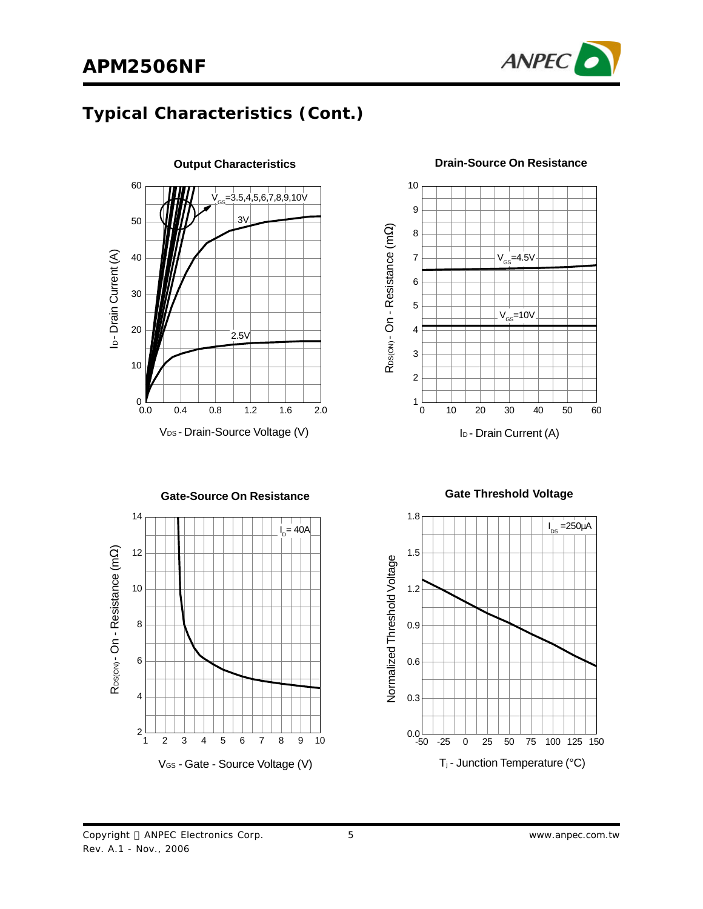

### **Typical Characteristics (Cont.)**



3 4 5 6 7 8 9  $V_{\text{GS}}$ =4.5V  $V_{GS}$ =10V

RDS(ON) - On - Resistance (m R<sub>DS(ON)</sub> - On - Resistance (mΩ)

 $\begin{smallmatrix} 1 & L \\ 0 & 0 \end{smallmatrix}$ 

2

10

#### **Drain-Source On Resistance**



I<sub>D</sub> - Drain Current (A)

0 10 20 30 40 50 60



1.8  $I_{DS} = 250 \mu A$ 1.5 Normalized Threshold Voltage Normalized Threshold Voltage 1.2 0.9 0.6 0.3  $0.0 - 50$ -50 -25 0 25 50 75 100 125 150 T<sup>j</sup> - Junction Temperature (°C)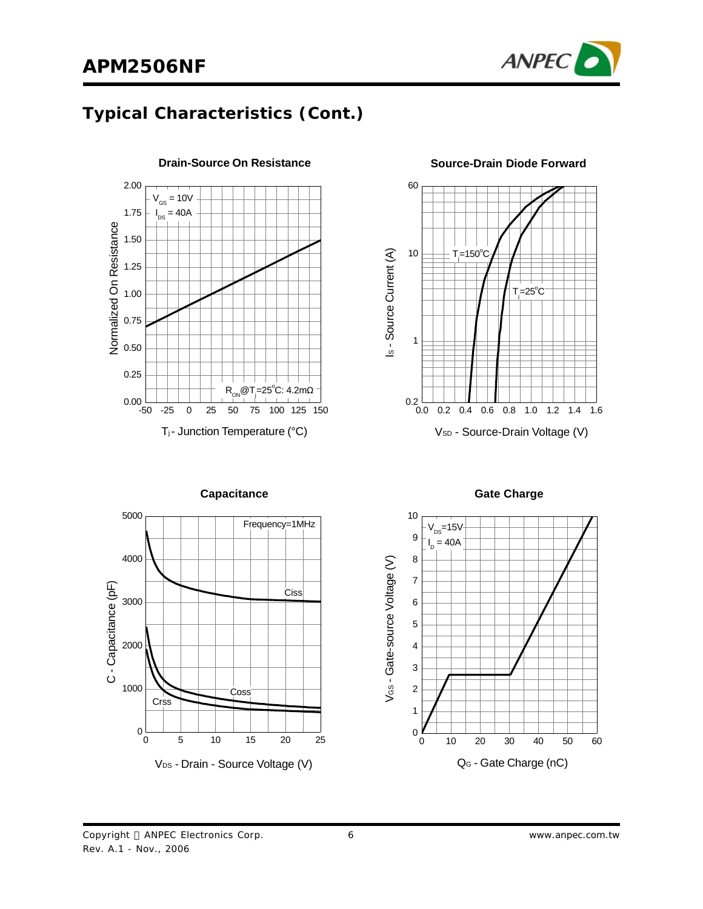

### **Typical Characteristics (Cont.)**



**Drain-Source On Resistance Source-Drain Diode Forward**



**Capacitance Gate Charge** 





Copyright © ANPEC Electronics Corp.

Rev. A.1 - Nov., 2006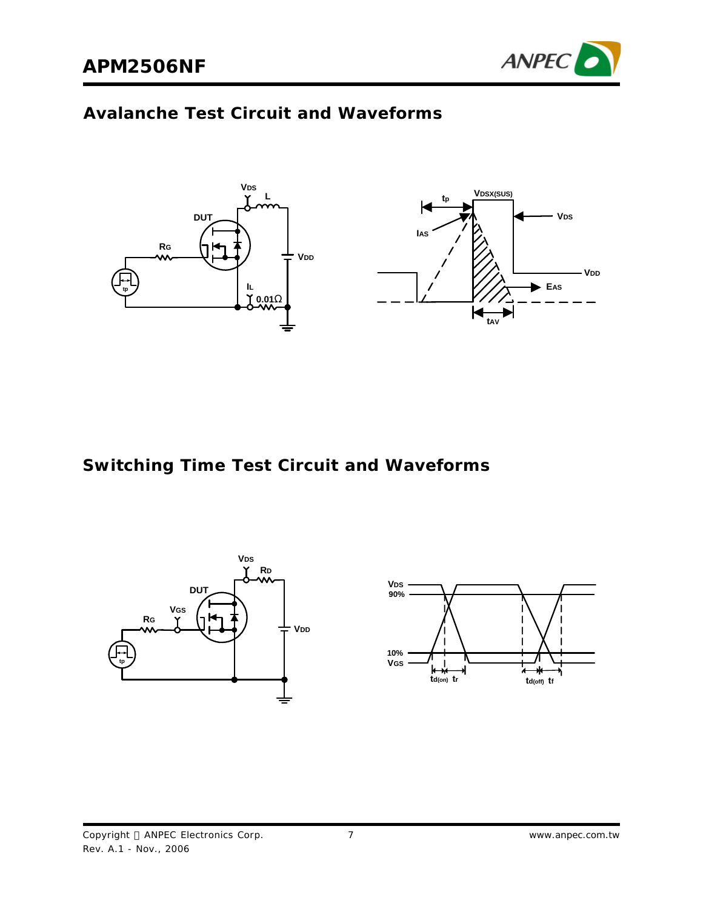

#### **Avalanche Test Circuit and Waveforms**



**Switching Time Test Circuit and Waveforms**

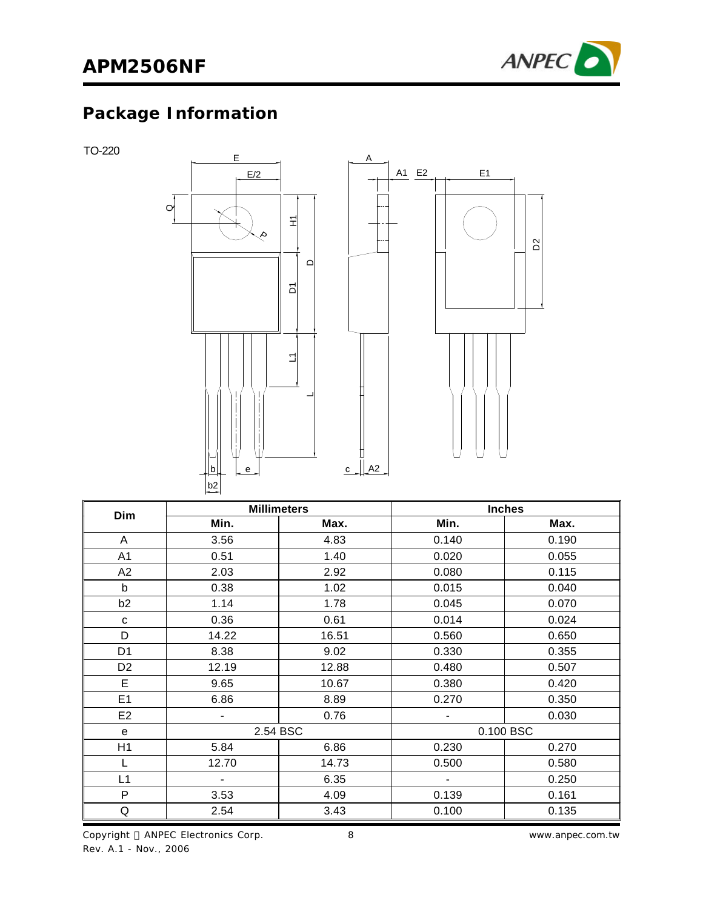

# **Package Information**

TO-220



| <b>Dim</b>     | <b>Millimeters</b> |       | <b>Inches</b>  |           |  |
|----------------|--------------------|-------|----------------|-----------|--|
|                | Min.               | Max.  | Min.           | Max.      |  |
| A              | 3.56               | 4.83  | 0.140          | 0.190     |  |
| A <sub>1</sub> | 0.51               | 1.40  | 0.020          | 0.055     |  |
| A2             | 2.03               | 2.92  | 0.080          | 0.115     |  |
| b              | 0.38               | 1.02  | 0.015          | 0.040     |  |
| b2             | 1.14               | 1.78  | 0.045          | 0.070     |  |
| C              | 0.36               | 0.61  | 0.014          | 0.024     |  |
| D              | 14.22              | 16.51 | 0.560          | 0.650     |  |
| D <sub>1</sub> | 8.38               | 9.02  | 0.330          | 0.355     |  |
| D <sub>2</sub> | 12.19              | 12.88 | 0.480          | 0.507     |  |
| E              | 9.65               | 10.67 | 0.380          | 0.420     |  |
| E <sub>1</sub> | 6.86               | 8.89  | 0.270          | 0.350     |  |
| E <sub>2</sub> | $\blacksquare$     | 0.76  | $\blacksquare$ | 0.030     |  |
| e              | 2.54 BSC           |       |                | 0.100 BSC |  |
| H1             | 5.84               | 6.86  | 0.230          | 0.270     |  |
| L              | 12.70              | 14.73 | 0.500          | 0.580     |  |
| L1             | Ξ.                 | 6.35  | $\blacksquare$ | 0.250     |  |
| P              | 3.53               | 4.09  | 0.139          | 0.161     |  |
| Q              | 2.54               | 3.43  | 0.100          | 0.135     |  |

8 *www.anpec.com.tw*